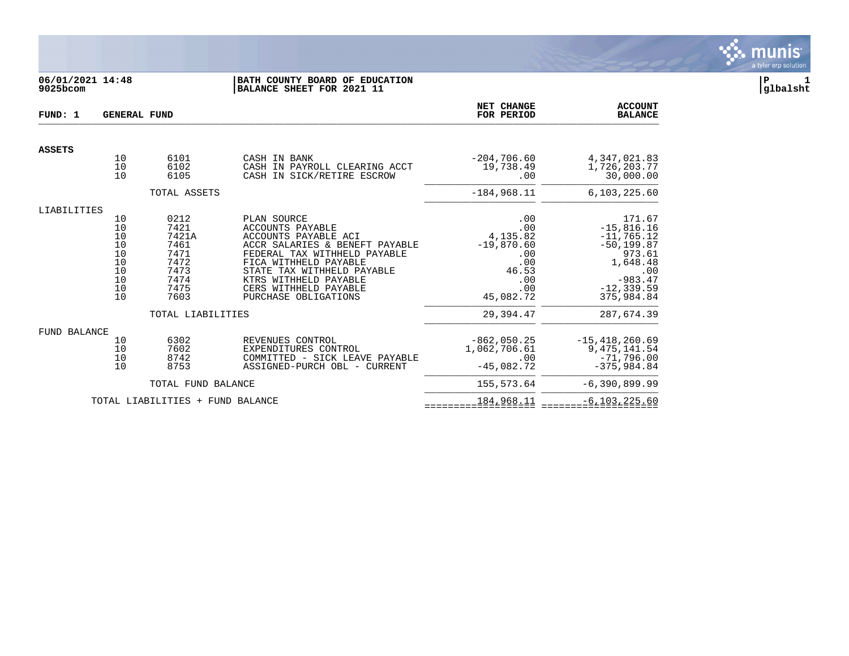

# **06/01/2021 14:48 |BATH COUNTY BOARD OF EDUCATION |P 1 9025bcom |BALANCE SHEET FOR 2021 11 |glbalsht**

| FUND: 1       | <b>GENERAL FUND</b>                                      |                                                                               |                                                                                                                                                                                                                                                                   | NET CHANGE<br>FOR PERIOD                                                                 | <b>ACCOUNT</b><br><b>BALANCE</b>                                                                                                 |
|---------------|----------------------------------------------------------|-------------------------------------------------------------------------------|-------------------------------------------------------------------------------------------------------------------------------------------------------------------------------------------------------------------------------------------------------------------|------------------------------------------------------------------------------------------|----------------------------------------------------------------------------------------------------------------------------------|
| <b>ASSETS</b> |                                                          |                                                                               |                                                                                                                                                                                                                                                                   |                                                                                          |                                                                                                                                  |
|               | 10<br>10<br>10                                           | 6101<br>6102<br>6105                                                          | CASH IN BANK<br>CASH IN PAYROLL CLEARING ACCT<br>CASH IN SICK/RETIRE ESCROW                                                                                                                                                                                       | $-204,706.60$<br>19,738.49<br>.00                                                        | 4, 347, 021.83<br>1,726,203.77<br>30,000.00                                                                                      |
|               |                                                          | TOTAL ASSETS                                                                  |                                                                                                                                                                                                                                                                   | $-184,968.11$                                                                            | 6,103,225.60                                                                                                                     |
| LIABILITIES   |                                                          |                                                                               |                                                                                                                                                                                                                                                                   |                                                                                          |                                                                                                                                  |
|               | 10<br>10<br>10<br>10<br>10<br>10<br>10<br>10<br>10<br>10 | 0212<br>7421<br>7421A<br>7461<br>7471<br>7472<br>7473<br>7474<br>7475<br>7603 | PLAN SOURCE<br><b>ACCOUNTS PAYABLE</b><br>ACCOUNTS PAYABLE ACI<br>ACCR SALARIES & BENEFT PAYABLE<br>FEDERAL TAX WITHHELD PAYABLE<br>FICA WITHHELD PAYABLE<br>STATE TAX WITHHELD PAYABLE<br>KTRS WITHHELD PAYABLE<br>CERS WITHHELD PAYABLE<br>PURCHASE OBLIGATIONS | .00<br>.00<br>4,135.82<br>$-19,870.60$<br>.00<br>.00<br>46.53<br>.00<br>.00<br>45,082.72 | 171.67<br>$-15,816.16$<br>$-11,765.12$<br>$-50, 199.87$<br>973.61<br>1,648.48<br>.00<br>$-983.47$<br>$-12, 339.59$<br>375,984.84 |
|               |                                                          | TOTAL LIABILITIES                                                             |                                                                                                                                                                                                                                                                   | 29,394.47                                                                                | 287,674.39                                                                                                                       |
| FUND BALANCE  | 10<br>10<br>10<br>10                                     | 6302<br>7602<br>8742<br>8753                                                  | REVENUES CONTROL<br>EXPENDITURES CONTROL<br>COMMITTED - SICK LEAVE PAYABLE<br>ASSIGNED-PURCH OBL - CURRENT                                                                                                                                                        | $-862,050.25$<br>1,062,706.61<br>.00<br>$-45,082.72$                                     | $-15,418,260.69$<br>9, 475, 141.54<br>$-71,796.00$<br>$-375,984.84$                                                              |
|               |                                                          | TOTAL FUND BALANCE                                                            |                                                                                                                                                                                                                                                                   | 155,573.64                                                                               | $-6,390,899.99$                                                                                                                  |
|               |                                                          | TOTAL LIABILITIES + FUND BALANCE                                              |                                                                                                                                                                                                                                                                   | 184,968.11                                                                               | $-6, 103, 225.60$                                                                                                                |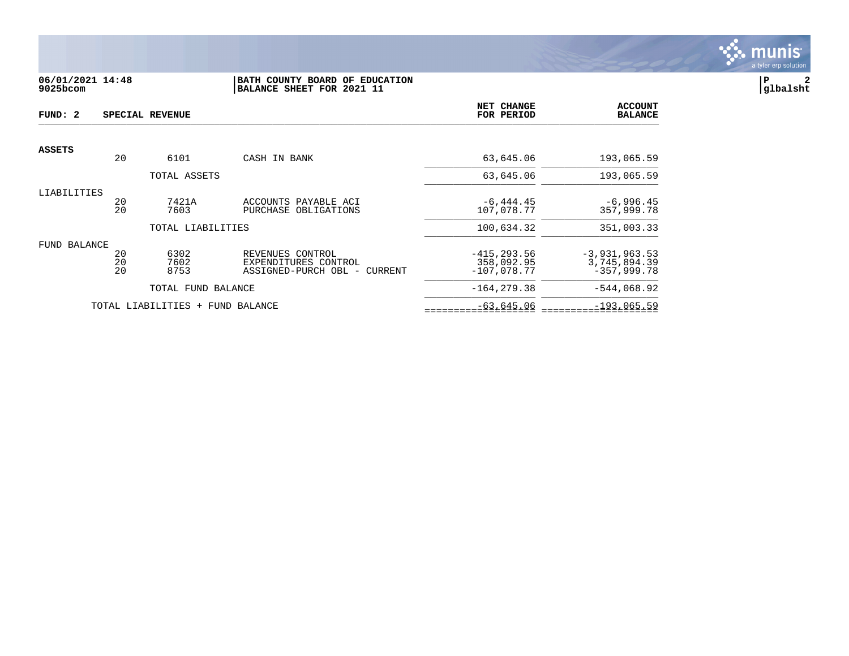

## **06/01/2021 14:48 |BATH COUNTY BOARD OF EDUCATION |P 2 9025bcom |BALANCE SHEET FOR 2021 11 |glbalsht**

| FUND: 2       |                | SPECIAL REVENUE                  |                                                                          | NET CHANGE<br>FOR PERIOD                      | <b>ACCOUNT</b><br><b>BALANCE</b>                 |
|---------------|----------------|----------------------------------|--------------------------------------------------------------------------|-----------------------------------------------|--------------------------------------------------|
| <b>ASSETS</b> |                |                                  |                                                                          |                                               |                                                  |
|               | 20             | 6101                             | CASH IN BANK                                                             | 63,645.06                                     | 193,065.59                                       |
|               |                | TOTAL ASSETS                     |                                                                          | 63,645.06                                     | 193,065.59                                       |
| LIABILITIES   | 20<br>20       | 7421A<br>7603                    | ACCOUNTS PAYABLE ACI<br>PURCHASE OBLIGATIONS                             | $-6, 444.45$<br>107,078.77                    | $-6,996.45$<br>357,999.78                        |
|               |                | TOTAL LIABILITIES                |                                                                          | 100,634.32                                    | 351,003.33                                       |
| FUND BALANCE  | 20<br>20<br>20 | 6302<br>7602<br>8753             | REVENUES CONTROL<br>EXPENDITURES CONTROL<br>ASSIGNED-PURCH OBL - CURRENT | $-415, 293.56$<br>358,092.95<br>$-107,078.77$ | $-3,931,963.53$<br>3,745,894.39<br>$-357.999.78$ |
|               |                | TOTAL FUND BALANCE               |                                                                          | $-164.279.38$                                 | $-544,068.92$                                    |
|               |                | TOTAL LIABILITIES + FUND BALANCE |                                                                          | $-63,645.06$                                  | $-193,065.59$                                    |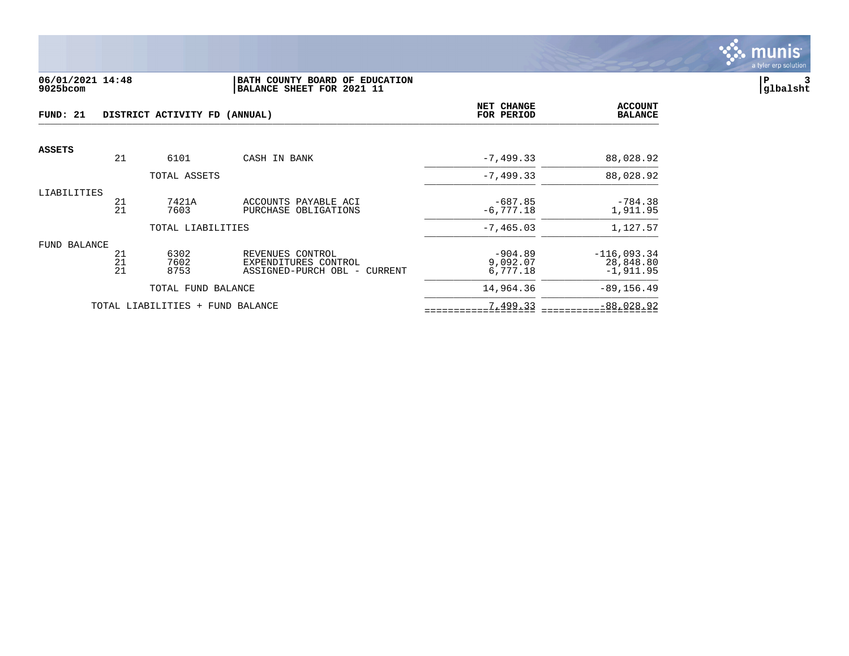

#### **06/01/2021 14:48 |BATH COUNTY BOARD OF EDUCATION |P 3 9025bcom |BALANCE SHEET FOR 2021 11 |glbalsht**

| FUND: 21      |                | DISTRICT ACTIVITY FD (ANNUAL)    | NET CHANGE<br>FOR PERIOD                                                 | <b>ACCOUNT</b><br><b>BALANCE</b>  |                                           |
|---------------|----------------|----------------------------------|--------------------------------------------------------------------------|-----------------------------------|-------------------------------------------|
| <b>ASSETS</b> |                |                                  |                                                                          |                                   |                                           |
|               | 21             | 6101                             | CASH IN BANK                                                             | $-7, 499.33$                      | 88,028.92                                 |
|               |                | TOTAL ASSETS                     |                                                                          | $-7, 499.33$                      | 88,028.92                                 |
| LIABILITIES   | 21<br>21       | 7421A<br>7603                    | ACCOUNTS PAYABLE ACI<br>PURCHASE OBLIGATIONS                             | $-687.85$<br>$-6, 777.18$         | $-784.38$<br>1,911.95                     |
|               |                | TOTAL LIABILITIES                |                                                                          | $-7, 465.03$                      | 1,127.57                                  |
| FUND BALANCE  | 21<br>21<br>21 | 6302<br>7602<br>8753             | REVENUES CONTROL<br>EXPENDITURES CONTROL<br>ASSIGNED-PURCH OBL - CURRENT | $-904.89$<br>9,092.07<br>6,777.18 | $-116,093.34$<br>28,848.80<br>$-1,911.95$ |
|               |                | TOTAL FUND BALANCE               |                                                                          | 14,964.36                         | $-89, 156.49$                             |
|               |                | TOTAL LIABILITIES + FUND BALANCE |                                                                          | 7,499.33                          | $-88,028.92$                              |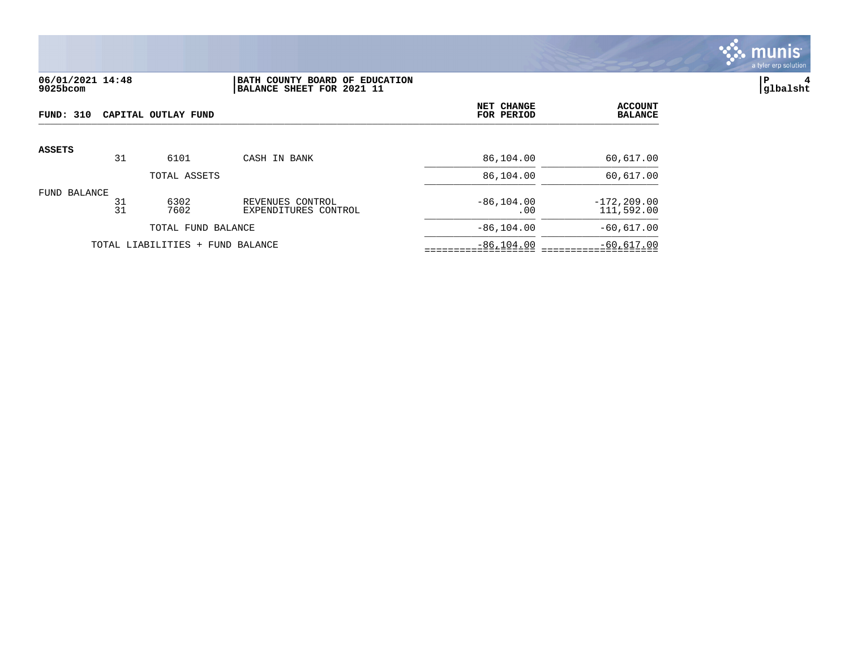

## **06/01/2021 14:48 |BATH COUNTY BOARD OF EDUCATION |P 4 9025bcom |BALANCE SHEET FOR 2021 11 |glbalsht**

| FUND: 310<br>CAPITAL OUTLAY FUND |          |                     |                                          | NET CHANGE<br>FOR PERIOD | <b>ACCOUNT</b><br><b>BALANCE</b> |
|----------------------------------|----------|---------------------|------------------------------------------|--------------------------|----------------------------------|
| <b>ASSETS</b>                    |          |                     |                                          |                          |                                  |
|                                  | 31       | 6101                | CASH IN BANK                             | 86,104.00                | 60,617.00                        |
|                                  |          | TOTAL ASSETS        |                                          | 86,104.00                | 60,617.00                        |
| FUND BALANCE                     | 31<br>31 | 6302<br>7602        | REVENUES CONTROL<br>EXPENDITURES CONTROL | $-86, 104.00$<br>.00     | $-172, 209.00$<br>111,592.00     |
|                                  |          | TOTAL FUND BALANCE  |                                          | $-86, 104.00$            | $-60,617.00$                     |
|                                  |          | TOTAL LIABILITIES + | FUND BALANCE                             | $-86, 104.00$            | $-60,617.00$                     |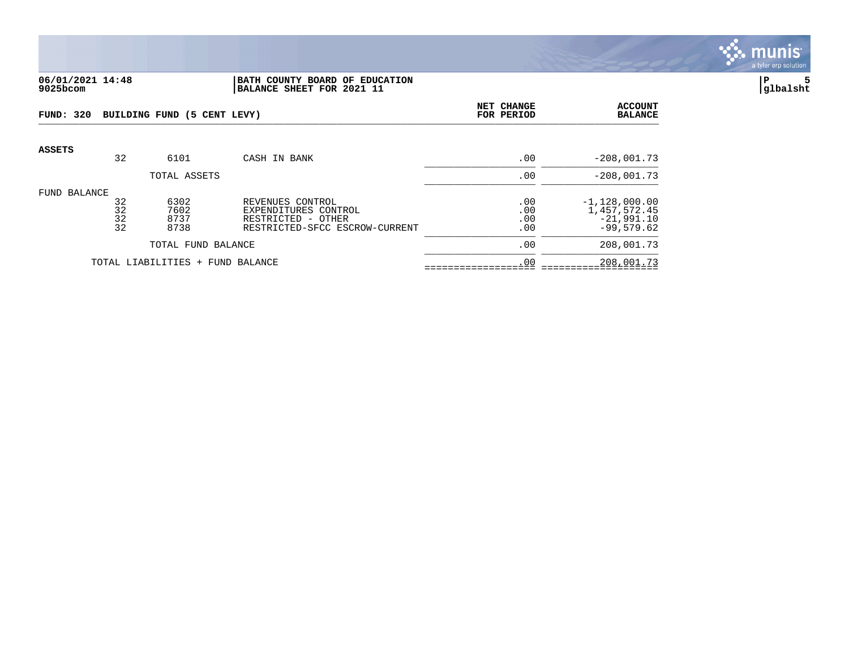

#### **06/01/2021 14:48 |BATH COUNTY BOARD OF EDUCATION |P 5 9025bcom |BALANCE SHEET FOR 2021 11 |glbalsht**

| <b>FUND: 320</b> |                      | BUILDING FUND (5 CENT LEVY)  | NET CHANGE<br>FOR PERIOD                                                                         | <b>ACCOUNT</b><br><b>BALANCE</b> |                                                                 |
|------------------|----------------------|------------------------------|--------------------------------------------------------------------------------------------------|----------------------------------|-----------------------------------------------------------------|
| <b>ASSETS</b>    | 32                   | 6101                         | CASH IN BANK                                                                                     | .00                              | $-208,001.73$                                                   |
|                  |                      | TOTAL ASSETS                 |                                                                                                  | .00                              | $-208,001.73$                                                   |
| FUND BALANCE     | 32<br>32<br>32<br>32 | 6302<br>7602<br>8737<br>8738 | REVENUES CONTROL<br>EXPENDITURES CONTROL<br>RESTRICTED - OTHER<br>RESTRICTED-SFCC ESCROW-CURRENT | .00<br>.00<br>.00<br>.00         | $-1,128,000.00$<br>1,457,572.45<br>$-21,991.10$<br>$-99,579.62$ |
|                  |                      | TOTAL FUND BALANCE           |                                                                                                  | .00                              | 208,001.73                                                      |
|                  |                      | TOTAL LIABILITIES +          | FUND BALANCE                                                                                     | .00                              | 208,001.73                                                      |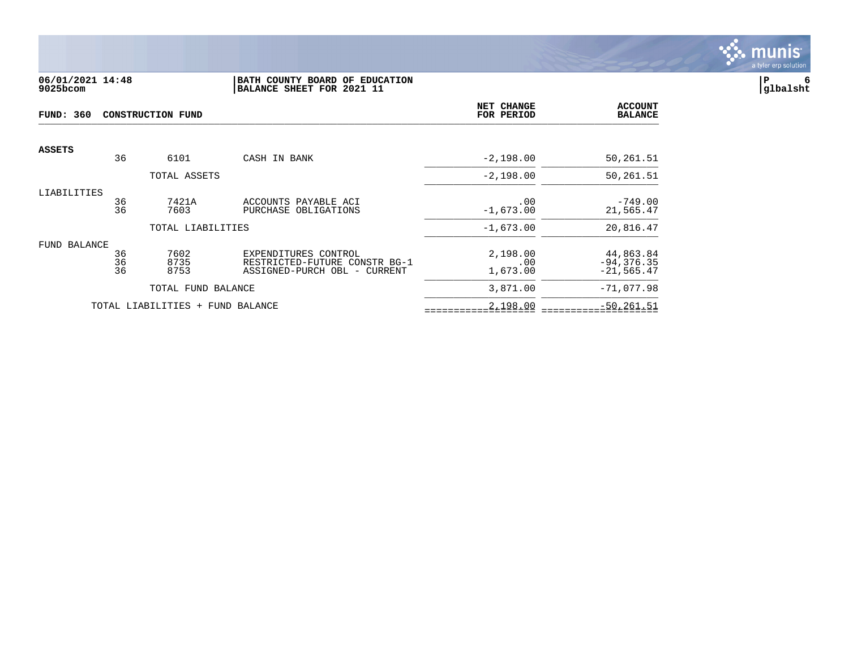

## **06/01/2021 14:48 |BATH COUNTY BOARD OF EDUCATION |P 6 9025bcom |BALANCE SHEET FOR 2021 11 |glbalsht**

| <b>FUND: 360</b>    |          | CONSTRUCTION FUND                | NET CHANGE<br>FOR PERIOD                              | <b>ACCOUNT</b><br><b>BALANCE</b> |                            |
|---------------------|----------|----------------------------------|-------------------------------------------------------|----------------------------------|----------------------------|
| <b>ASSETS</b>       |          |                                  |                                                       |                                  |                            |
|                     | 36       | 6101                             | CASH IN BANK                                          | $-2,198.00$                      | 50,261.51                  |
|                     |          | TOTAL ASSETS                     |                                                       | $-2,198.00$                      | 50,261.51                  |
| LIABILITIES         |          |                                  |                                                       |                                  |                            |
|                     | 36<br>36 | 7421A<br>7603                    | ACCOUNTS PAYABLE ACI<br>PURCHASE OBLIGATIONS          | .00<br>$-1,673.00$               | $-749.00$<br>21,565.47     |
|                     |          | TOTAL LIABILITIES                |                                                       | $-1,673.00$                      | 20,816.47                  |
| <b>FUND BALANCE</b> |          |                                  |                                                       |                                  |                            |
|                     | 36<br>36 | 7602<br>8735                     | EXPENDITURES CONTROL<br>RESTRICTED-FUTURE CONSTR BG-1 | 2,198.00<br>.00                  | 44,863.84<br>$-94, 376.35$ |
|                     | 36       | 8753                             | ASSIGNED-PURCH OBL - CURRENT                          | 1,673.00                         | $-21, 565.47$              |
|                     |          | TOTAL FUND BALANCE               |                                                       | 3,871.00                         | $-71,077.98$               |
|                     |          | TOTAL LIABILITIES + FUND BALANCE |                                                       | 2,198.00                         | $-50, 261.51$              |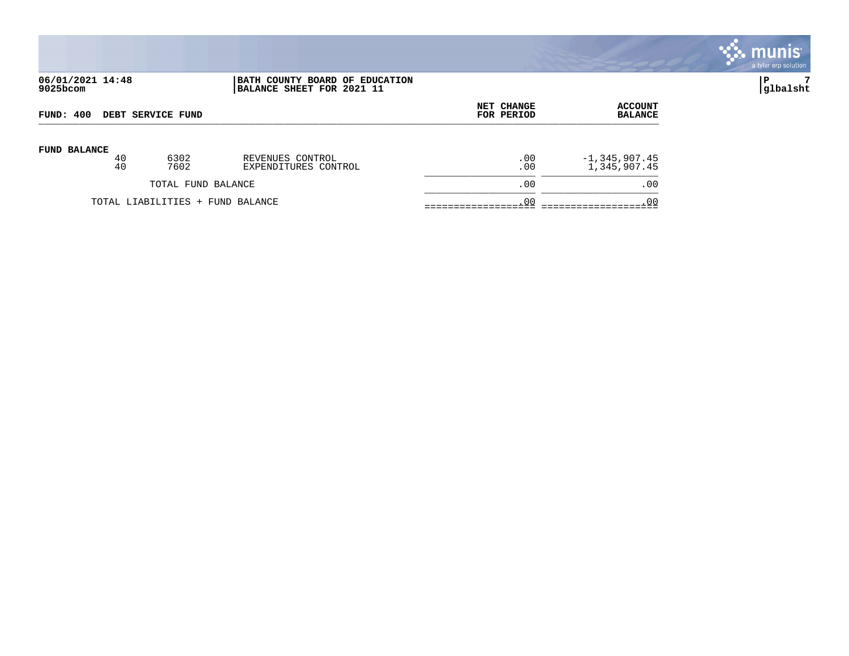|                              |          |                          |                                                             |                          |                                   | $\mathbb{S}$ munis $\mathbb{S}^1$<br>a tyler erp solution |
|------------------------------|----------|--------------------------|-------------------------------------------------------------|--------------------------|-----------------------------------|-----------------------------------------------------------|
| 06/01/2021 14:48<br>9025bcom |          |                          | BATH COUNTY BOARD OF EDUCATION<br>BALANCE SHEET FOR 2021 11 |                          |                                   | P<br> glbalsht                                            |
| FUND: 400                    |          | <b>DEBT SERVICE FUND</b> |                                                             | NET CHANGE<br>FOR PERIOD | <b>ACCOUNT</b><br><b>BALANCE</b>  |                                                           |
| FUND BALANCE                 | 40<br>40 | 6302<br>7602             | REVENUES CONTROL<br>EXPENDITURES CONTROL                    | .00<br>.00               | $-1, 345, 907.45$<br>1,345,907.45 |                                                           |
|                              |          | TOTAL FUND BALANCE       |                                                             | .00                      | .00                               |                                                           |

TOTAL LIABILITIES + FUND BALANCE .00 .00 =================== ====================

\_\_\_\_\_\_\_\_\_\_\_\_\_\_\_\_\_\_\_ \_\_\_\_\_\_\_\_\_\_\_\_\_\_\_\_\_\_\_\_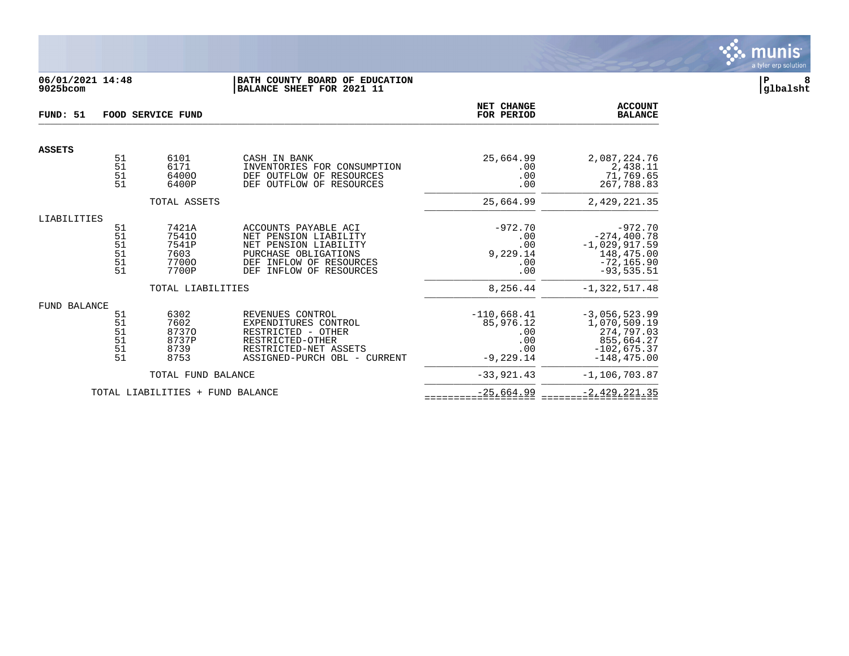

## **06/01/2021 14:48 |BATH COUNTY BOARD OF EDUCATION |P 8 9025bcom |BALANCE SHEET FOR 2021 11 |glbalsht**

| FUND: 51      | FOOD SERVICE FUND                       |                                                   |                                                                                                                                                                   |                                                                 | <b>ACCOUNT</b><br><b>BALANCE</b>                                                               |
|---------------|-----------------------------------------|---------------------------------------------------|-------------------------------------------------------------------------------------------------------------------------------------------------------------------|-----------------------------------------------------------------|------------------------------------------------------------------------------------------------|
| <b>ASSETS</b> |                                         |                                                   |                                                                                                                                                                   |                                                                 |                                                                                                |
|               | 51<br>51<br>51<br>51                    | 6101<br>6171<br>64000<br>6400P                    | CASH IN BANK<br>INVENTORIES FOR CONSUMPTION<br>DEF OUTFLOW OF<br>RESOURCES<br>DEF OUTFLOW OF RESOURCES                                                            | 25,664.99<br>.00<br>.00<br>.00                                  | 2,087,224.76<br>2,438.11<br>71,769.65<br>267,788.83                                            |
|               |                                         | TOTAL ASSETS                                      |                                                                                                                                                                   | 25,664.99                                                       | 2,429,221.35                                                                                   |
| LIABILITIES   |                                         |                                                   |                                                                                                                                                                   |                                                                 |                                                                                                |
|               | 51<br>51<br>51<br>51<br>51<br>51        | 7421A<br>75410<br>7541P<br>7603<br>77000<br>7700P | ACCOUNTS PAYABLE ACI<br>NET PENSION LIABILITY<br>NET PENSION LIABILITY<br>PURCHASE OBLIGATIONS<br>INFLOW OF RESOURCES<br>DEF<br><b>DEF</b><br>INFLOW OF RESOURCES | $-972.70$<br>.00<br>.00<br>9,229.14<br>.00<br>.00               | $-972.70$<br>$-274, 400.78$<br>$-1,029,917.59$<br>148,475.00<br>$-72, 165.90$<br>$-93, 535.51$ |
|               |                                         | TOTAL LIABILITIES                                 |                                                                                                                                                                   | 8,256.44                                                        | $-1,322,517.48$                                                                                |
| FUND BALANCE  |                                         |                                                   |                                                                                                                                                                   |                                                                 |                                                                                                |
|               | 51<br>51<br>$\frac{51}{51}$<br>51<br>51 | 6302<br>7602<br>87370<br>8737P<br>8739<br>8753    | REVENUES CONTROL<br>EXPENDITURES CONTROL<br>RESTRICTED - OTHER<br>RESTRICTED-OTHER<br>RESTRICTED-NET ASSETS<br>ASSIGNED-PURCH OBL - CURRENT                       | $-110,668.41$<br>85,976.12<br>.00<br>.00<br>.00<br>$-9, 229.14$ | $-3,056,523.99$<br>1,070,509.19<br>274,797.03<br>855,664.27<br>$-102,675.37$<br>$-148, 475.00$ |
|               |                                         | TOTAL FUND BALANCE                                |                                                                                                                                                                   | $-33,921,43$                                                    | $-1.106.703.87$                                                                                |
|               |                                         | TOTAL LIABILITIES + FUND BALANCE                  |                                                                                                                                                                   | $-25,664.99$                                                    | $-2,429,221.35$                                                                                |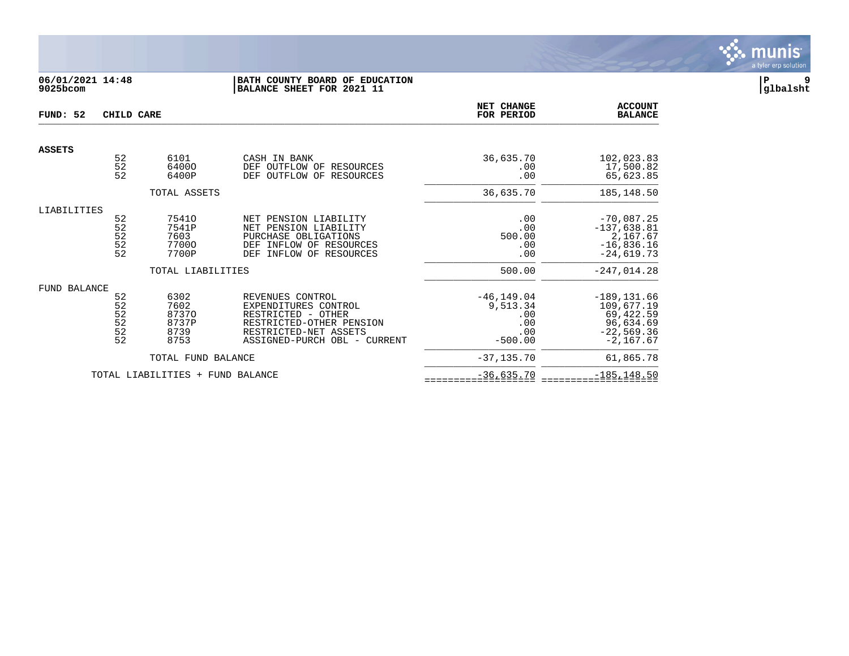

## **06/01/2021 14:48 |BATH COUNTY BOARD OF EDUCATION |P 9 9025bcom |BALANCE SHEET FOR 2021 11 |glbalsht**

| FUND: 52            | CHILD CARE                                                             |                                                |                                                                                                                                                     | <b>NET CHANGE</b><br>FOR PERIOD                             | <b>ACCOUNT</b><br><b>BALANCE</b>                                                      |
|---------------------|------------------------------------------------------------------------|------------------------------------------------|-----------------------------------------------------------------------------------------------------------------------------------------------------|-------------------------------------------------------------|---------------------------------------------------------------------------------------|
| <b>ASSETS</b>       |                                                                        |                                                |                                                                                                                                                     |                                                             |                                                                                       |
|                     | 52<br>52<br>52                                                         | 6101<br>64000<br>6400P                         | CASH IN BANK<br>OUTFLOW OF RESOURCES<br>DEF<br>OUTFLOW OF RESOURCES<br>DEF                                                                          | 36,635.70<br>.00<br>.00                                     | 102,023.83<br>17,500.82<br>65,623.85                                                  |
|                     |                                                                        | TOTAL ASSETS                                   |                                                                                                                                                     | 36,635.70                                                   | 185, 148.50                                                                           |
| LIABILITIES         |                                                                        |                                                |                                                                                                                                                     |                                                             |                                                                                       |
|                     | 52<br>52<br>52<br>52<br>52                                             | 75410<br>7541P<br>7603<br>77000<br>7700P       | PENSION LIABILITY<br>NET<br>NET PENSION LIABILITY<br>PURCHASE OBLIGATIONS<br>INFLOW OF RESOURCES<br><b>DEF</b><br>DEF<br>INFLOW OF RESOURCES        | .00<br>.00<br>500.00<br>.00<br>.00                          | $-70,087.25$<br>$-137,638.81$<br>2,167.67<br>$-16,836.16$<br>$-24.619.73$             |
|                     |                                                                        | TOTAL LIABILITIES                              |                                                                                                                                                     | 500.00                                                      | $-247,014.28$                                                                         |
| <b>FUND BALANCE</b> | 52<br>52<br>$\frac{52}{52}$<br>$\begin{array}{c} 52 \\ 52 \end{array}$ | 6302<br>7602<br>87370<br>8737P<br>8739<br>8753 | REVENUES CONTROL<br>EXPENDITURES CONTROL<br>RESTRICTED - OTHER<br>RESTRICTED-OTHER PENSION<br>RESTRICTED-NET ASSETS<br>ASSIGNED-PURCH OBL - CURRENT | $-46, 149.04$<br>9,513.34<br>.00<br>.00<br>.00<br>$-500.00$ | $-189, 131.66$<br>109,677.19<br>69,422.59<br>96,634.69<br>$-22,569.36$<br>$-2,167.67$ |
|                     |                                                                        | TOTAL FUND BALANCE                             |                                                                                                                                                     | $-37, 135, 70$                                              | 61,865.78                                                                             |
|                     |                                                                        | TOTAL LIABILITIES + FUND BALANCE               |                                                                                                                                                     | $-36,635.70$                                                | $-185, 148.50$                                                                        |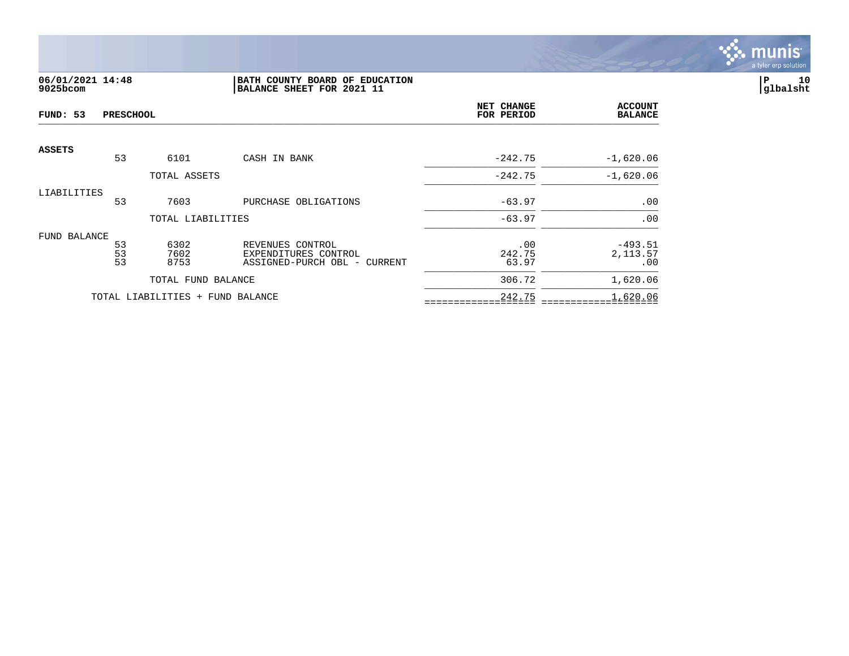

# **06/01/2021 14:48 |BATH COUNTY BOARD OF EDUCATION |P 10 9025bcom |BALANCE SHEET FOR 2021 11 |glbalsht**

| FUND: 53      | <b>PRESCHOOL</b>      |                                  |                                                                          | NET CHANGE<br>FOR PERIOD | <b>ACCOUNT</b><br><b>BALANCE</b> |
|---------------|-----------------------|----------------------------------|--------------------------------------------------------------------------|--------------------------|----------------------------------|
| <b>ASSETS</b> | 53                    | 6101                             | CASH IN BANK                                                             | $-242.75$                | $-1,620.06$                      |
|               |                       | TOTAL ASSETS                     |                                                                          | $-242.75$                | $-1,620.06$                      |
| LIABILITIES   | 53                    | 7603                             | PURCHASE OBLIGATIONS                                                     | $-63.97$                 | .00                              |
|               |                       | TOTAL LIABILITIES                |                                                                          | $-63.97$                 | .00                              |
| FUND BALANCE  | $\frac{53}{53}$<br>53 | 6302<br>7602<br>8753             | REVENUES CONTROL<br>EXPENDITURES CONTROL<br>ASSIGNED-PURCH OBL - CURRENT | .00<br>242.75<br>63.97   | $-493.51$<br>2,113.57<br>.00     |
|               |                       | TOTAL FUND BALANCE               |                                                                          | 306.72                   | 1,620.06                         |
|               |                       | TOTAL LIABILITIES + FUND BALANCE |                                                                          | 242.75                   | 1,620.06                         |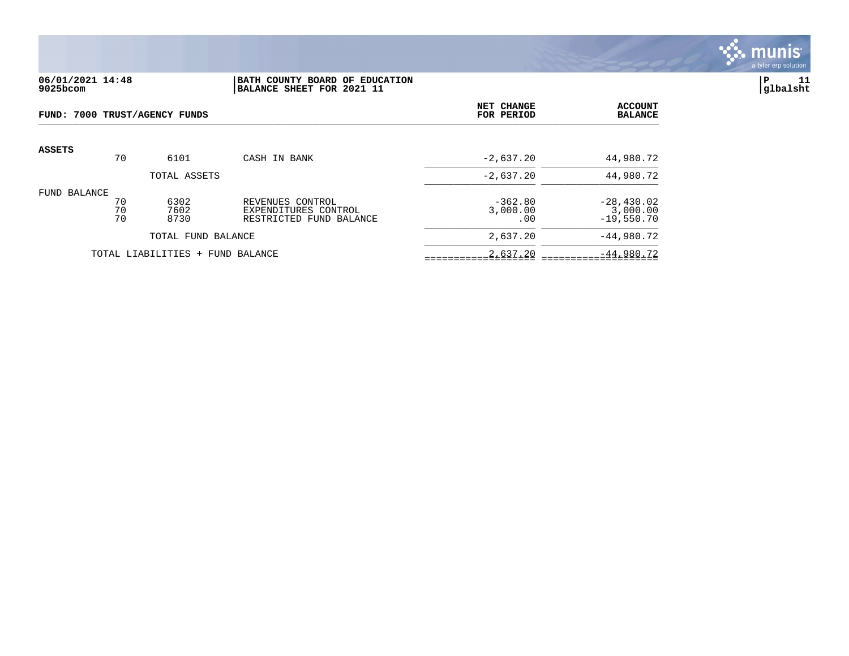

### **06/01/2021 14:48 |BATH COUNTY BOARD OF EDUCATION |P 11 9025bcom |BALANCE SHEET FOR 2021 11 |glbalsht**

| FUND: 7000 TRUST/AGENCY FUNDS |                |                                  | NET CHANGE<br>FOR PERIOD                                            | <b>ACCOUNT</b><br><b>BALANCE</b> |                                          |
|-------------------------------|----------------|----------------------------------|---------------------------------------------------------------------|----------------------------------|------------------------------------------|
| <b>ASSETS</b>                 | 70             | 6101                             | CASH IN BANK                                                        | $-2,637.20$                      | 44,980.72                                |
|                               |                | TOTAL ASSETS                     |                                                                     | $-2,637.20$                      | 44,980.72                                |
| FUND BALANCE                  | 70<br>70<br>70 | 6302<br>7602<br>8730             | REVENUES CONTROL<br>EXPENDITURES CONTROL<br>RESTRICTED FUND BALANCE | $-362.80$<br>3,000.00<br>.00     | $-28,430.02$<br>3,000.00<br>$-19,550.70$ |
| TOTAL FUND BALANCE            |                |                                  | 2,637.20                                                            | $-44,980.72$                     |                                          |
|                               |                | TOTAL LIABILITIES + FUND BALANCE |                                                                     | 2,637.20                         | $-44,980.72$                             |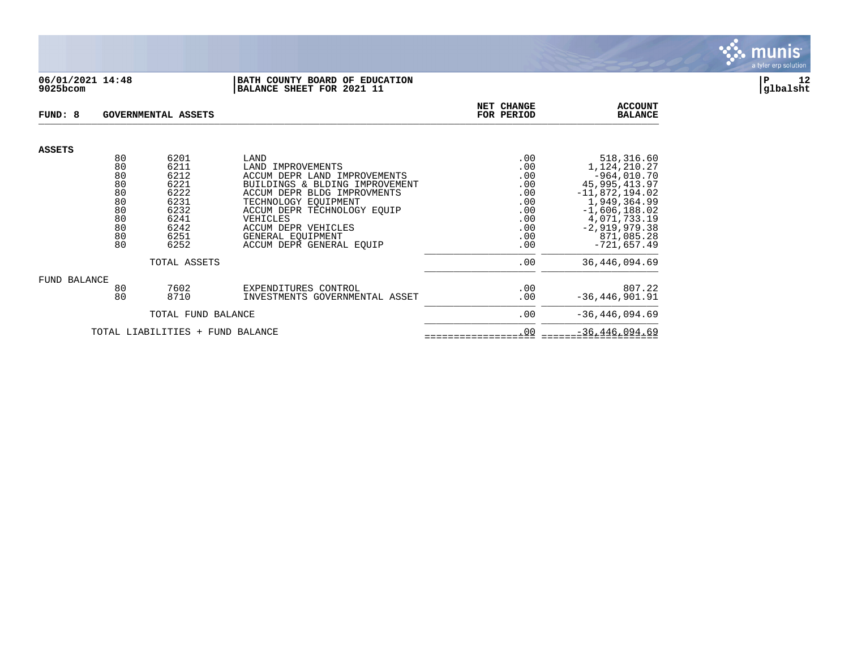

#### **06/01/2021 14:48 |BATH COUNTY BOARD OF EDUCATION |P 12 9025bcom |BALANCE SHEET FOR 2021 11 |glbalsht**

| FUND: 8             |          | GOVERNMENTAL ASSETS              |                                                                | NET CHANGE<br>FOR PERIOD | <b>ACCOUNT</b><br><b>BALANCE</b> |
|---------------------|----------|----------------------------------|----------------------------------------------------------------|--------------------------|----------------------------------|
| <b>ASSETS</b>       |          |                                  |                                                                |                          |                                  |
|                     | 80       | 6201                             | LAND                                                           | .00                      | 518,316.60                       |
|                     | 80<br>80 | 6211                             | LAND IMPROVEMENTS                                              | .00                      | 1,124,210.27                     |
|                     | 80       | 6212<br>6221                     | ACCUM DEPR LAND IMPROVEMENTS<br>BUILDINGS & BLDING IMPROVEMENT | .00<br>.00               | $-964,010.70$<br>45, 995, 413.97 |
|                     | 80       | 6222                             | ACCUM DEPR BLDG IMPROVMENTS                                    | .00                      | $-11,872,194.02$                 |
|                     | 80       | 6231                             | TECHNOLOGY EOUIPMENT                                           | .00                      | 1,949,364.99                     |
|                     | 80       | 6232                             | ACCUM DEPR TECHNOLOGY EOUIP                                    | .00                      | $-1,606,188.02$                  |
|                     | 80       | 6241                             | VEHICLES                                                       | .00                      | 4,071,733.19                     |
|                     | 80       | 6242                             | ACCUM DEPR VEHICLES                                            | .00                      | $-2,919,979.38$                  |
|                     | 80       | 6251                             | GENERAL EOUIPMENT                                              | .00                      | 871,085.28                       |
|                     | 80       | 6252                             | ACCUM DEPR GENERAL EOUIP                                       | .00                      | $-721,657.49$                    |
|                     |          | TOTAL ASSETS                     |                                                                | .00                      | 36, 446, 094.69                  |
| <b>FUND BALANCE</b> |          |                                  |                                                                |                          |                                  |
|                     | 80       | 7602                             | EXPENDITURES CONTROL                                           | .00                      | 807.22                           |
|                     | 80       | 8710                             | INVESTMENTS GOVERNMENTAL ASSET                                 | .00                      | $-36, 446, 901.91$               |
|                     |          | TOTAL FUND BALANCE               |                                                                | .00                      | $-36, 446, 094.69$               |
|                     |          | TOTAL LIABILITIES + FUND BALANCE |                                                                | .00                      | $-36, 446, 094.69$               |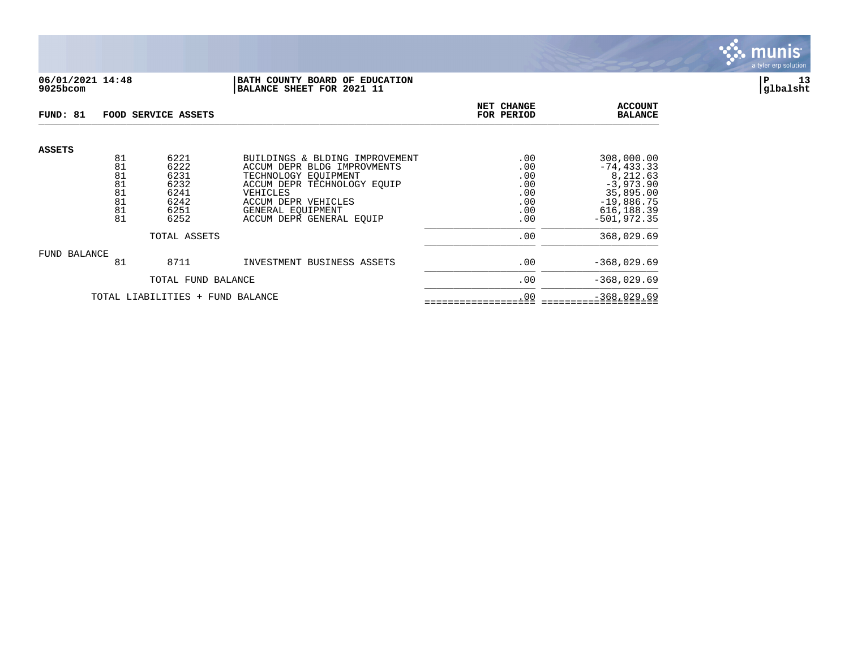

## **06/01/2021 14:48 |BATH COUNTY BOARD OF EDUCATION |P 13 9025bcom |BALANCE SHEET FOR 2021 11 |glbalsht**

| FUND: 81                         |                                  | FOOD SERVICE ASSETS                          |                                                                                                                                                         | NET CHANGE<br>FOR PERIOD               | <b>ACCOUNT</b><br><b>BALANCE</b>                                                    |
|----------------------------------|----------------------------------|----------------------------------------------|---------------------------------------------------------------------------------------------------------------------------------------------------------|----------------------------------------|-------------------------------------------------------------------------------------|
| <b>ASSETS</b>                    | 81<br>81<br>81<br>81<br>81<br>81 | 6221<br>6222<br>6231<br>6232<br>6241<br>6242 | BUILDINGS & BLDING IMPROVEMENT<br>ACCUM DEPR BLDG IMPROVMENTS<br>TECHNOLOGY EOUIPMENT<br>ACCUM DEPR TECHNOLOGY EQUIP<br>VEHICLES<br>ACCUM DEPR VEHICLES | .00<br>.00<br>.00<br>.00<br>.00<br>.00 | 308,000.00<br>$-74, 433.33$<br>8,212.63<br>$-3,973.90$<br>35,895.00<br>$-19,886.75$ |
|                                  | 81<br>81                         | 6251<br>6252                                 | GENERAL EOUIPMENT<br>ACCUM DEPR GENERAL EQUIP                                                                                                           | .00<br>.00                             | 616, 188.39<br>$-501.972.35$                                                        |
|                                  |                                  | TOTAL ASSETS                                 | .00                                                                                                                                                     | 368,029.69                             |                                                                                     |
| FUND BALANCE                     | 81                               | 8711                                         | INVESTMENT BUSINESS ASSETS                                                                                                                              | .00                                    | $-368,029.69$                                                                       |
|                                  | TOTAL FUND BALANCE               |                                              |                                                                                                                                                         | .00                                    | $-368,029.69$                                                                       |
| TOTAL LIABILITIES + FUND BALANCE |                                  |                                              |                                                                                                                                                         | .00                                    | $-368,029.69$                                                                       |